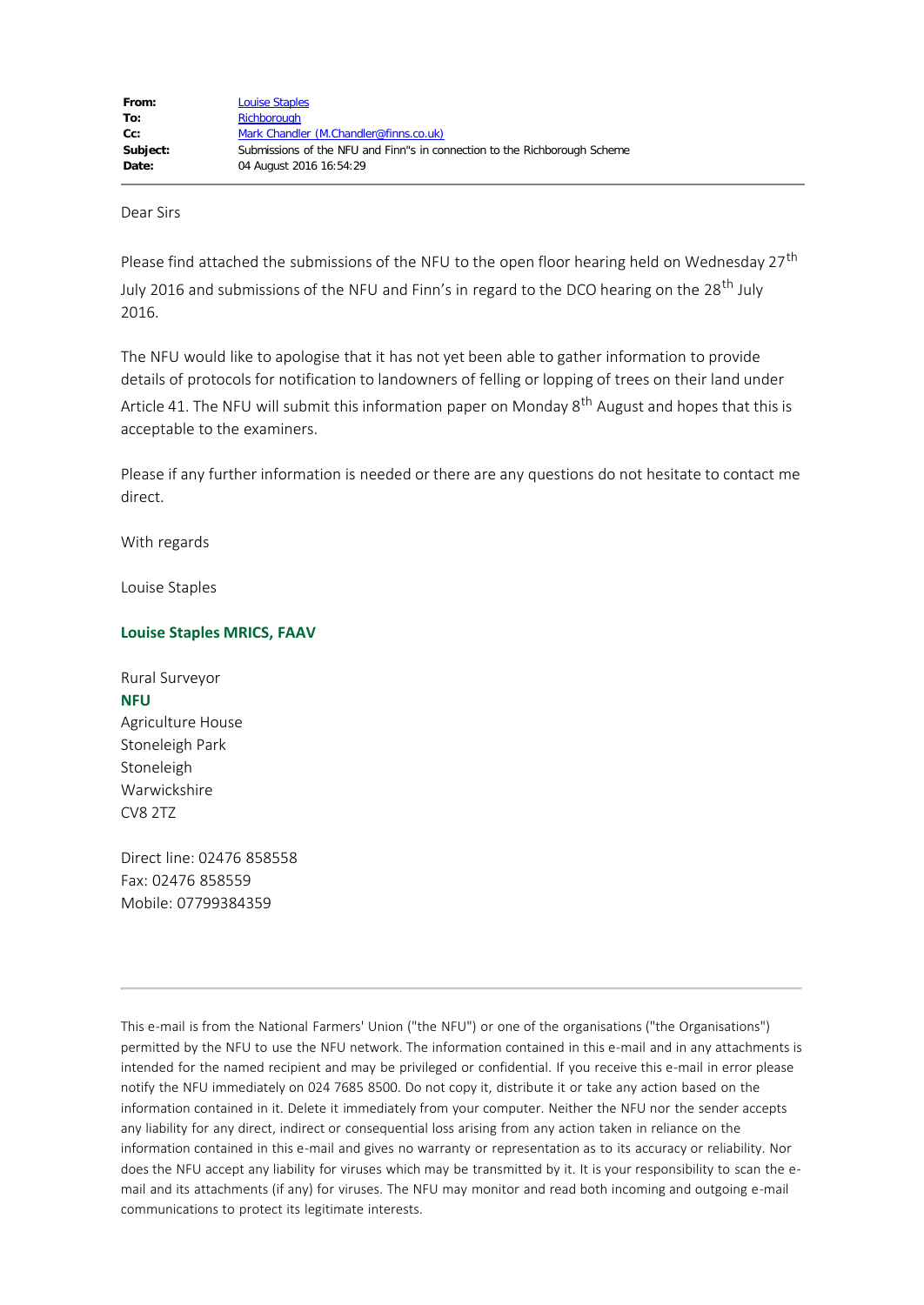Dear Sirs

Please find attached the submissions of the NFU to the open floor hearing held on Wednesday 27<sup>th</sup> July 2016 and submissions of the NFU and Finn's in regard to the DCO hearing on the 28<sup>th</sup> July 2016.

The NFU would like to apologise that it has not yet been able to gather information to provide details of protocols for notification to landowners of felling or lopping of trees on their land under Article 41. The NFU will submit this information paper on Monday  $8<sup>th</sup>$  August and hopes that this is acceptable to the examiners.

Please if any further information is needed or there are any questions do not hesitate to contact me direct.

With regards

Louise Staples

#### **Louise Staples MRICS, FAAV**

Rural Surveyor **NFU** Agriculture House Stoneleigh Park Stoneleigh Warwickshire CV8 2TZ

Direct line: 02476 858558 Fax: 02476 858559 Mobile: 07799384359

This e-mail is from the National Farmers' Union ("the NFU") or one of the organisations ("the Organisations") permitted by the NFU to use the NFU network. The information contained in this e-mail and in any attachments is intended for the named recipient and may be privileged or confidential. If you receive this e-mail in error please notify the NFU immediately on 024 7685 8500. Do not copy it, distribute it or take any action based on the information contained in it. Delete it immediately from your computer. Neither the NFU nor the sender accepts any liability for any direct, indirect or consequential loss arising from any action taken in reliance on the information contained in this e-mail and gives no warranty or representation as to its accuracy or reliability. Nor does the NFU accept any liability for viruses which may be transmitted by it. It is your responsibility to scan the email and its attachments (if any) for viruses. The NFU may monitor and read both incoming and outgoing e-mail communications to protect its legitimate interests.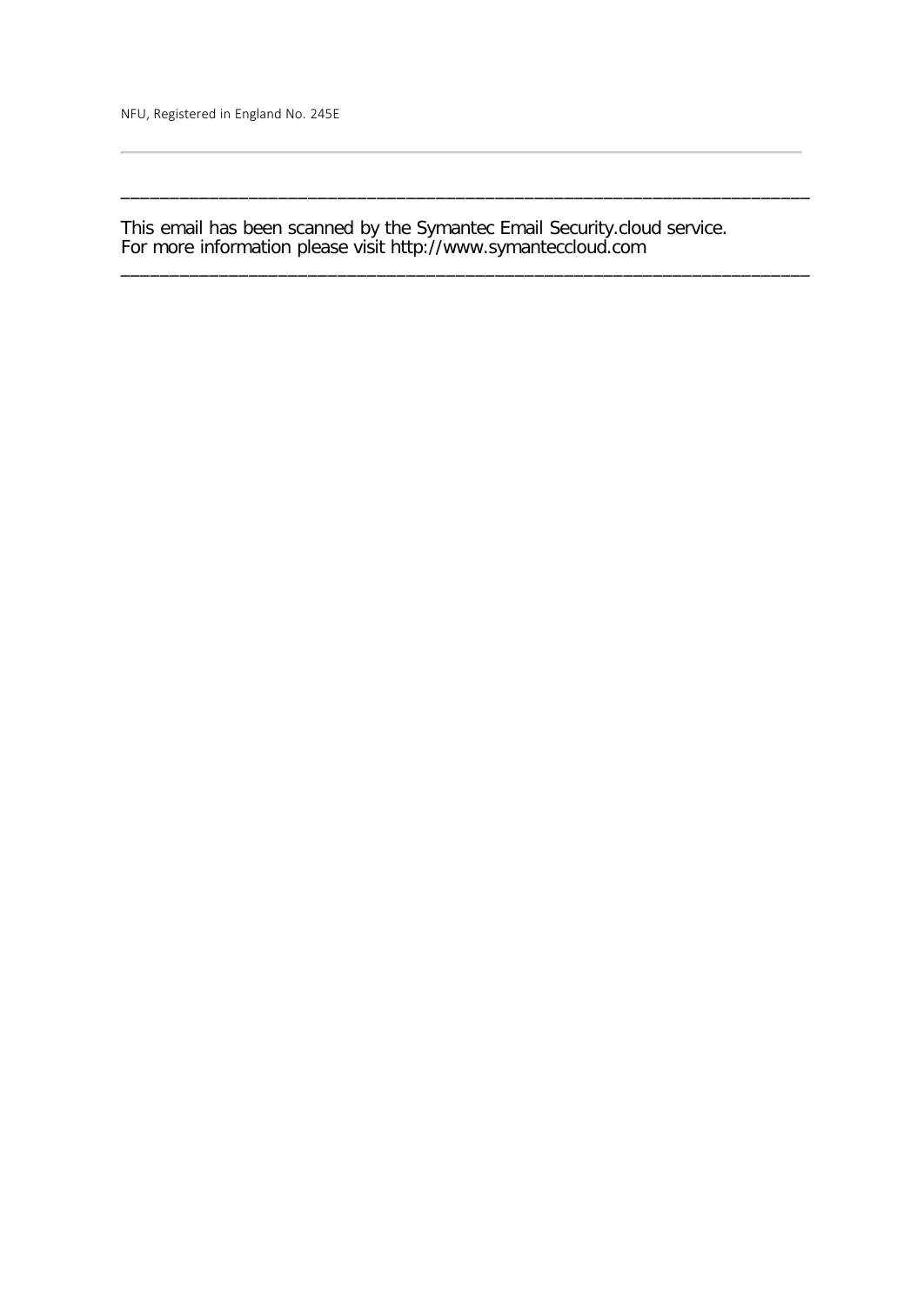NFU, Registered in England No. 245E

This email has been scanned by the Symantec Email Security.cloud service. For more information please visit http://www.symanteccloud.com

\_\_\_\_\_\_\_\_\_\_\_\_\_\_\_\_\_\_\_\_\_\_\_\_\_\_\_\_\_\_\_\_\_\_\_\_\_\_\_\_\_\_\_\_\_\_\_\_\_\_\_\_\_\_\_\_\_\_\_\_\_\_\_\_\_\_\_\_\_\_

\_\_\_\_\_\_\_\_\_\_\_\_\_\_\_\_\_\_\_\_\_\_\_\_\_\_\_\_\_\_\_\_\_\_\_\_\_\_\_\_\_\_\_\_\_\_\_\_\_\_\_\_\_\_\_\_\_\_\_\_\_\_\_\_\_\_\_\_\_\_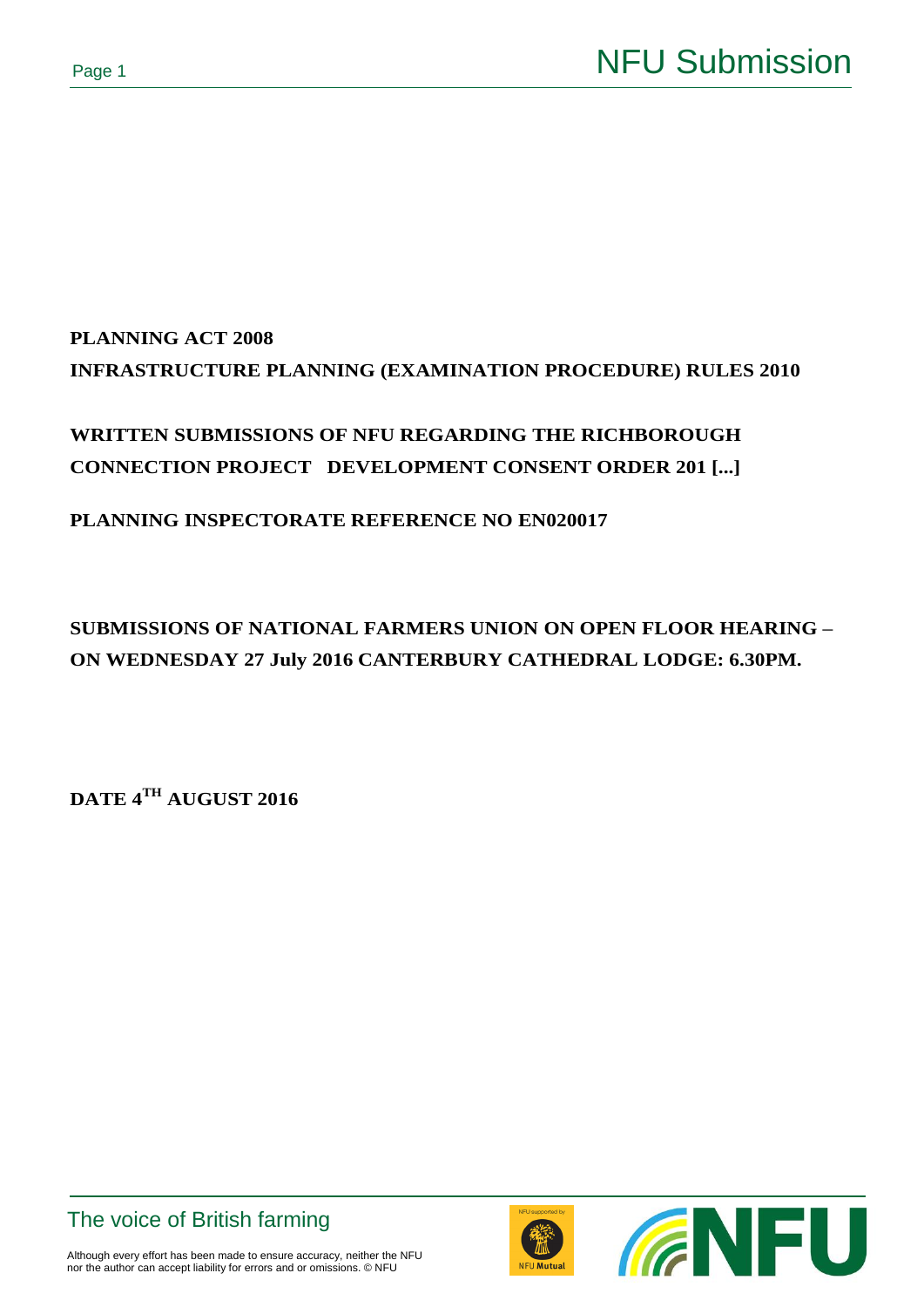# **PLANNING ACT 2008 INFRASTRUCTURE PLANNING (EXAMINATION PROCEDURE) RULES 2010**

## **WRITTEN SUBMISSIONS OF NFU REGARDING THE RICHBOROUGH CONNECTION PROJECT DEVELOPMENT CONSENT ORDER 201 [...]**

## **PLANNING INSPECTORATE REFERENCE NO EN020017**

## **SUBMISSIONS OF NATIONAL FARMERS UNION ON OPEN FLOOR HEARING – ON WEDNESDAY 27 July 2016 CANTERBURY CATHEDRAL LODGE: 6.30PM.**

**DATE 4TH AUGUST 2016**





Although every effort has been made to ensure accuracy, neither the NFU nor the author can accept liability for errors and or omissions. © NFU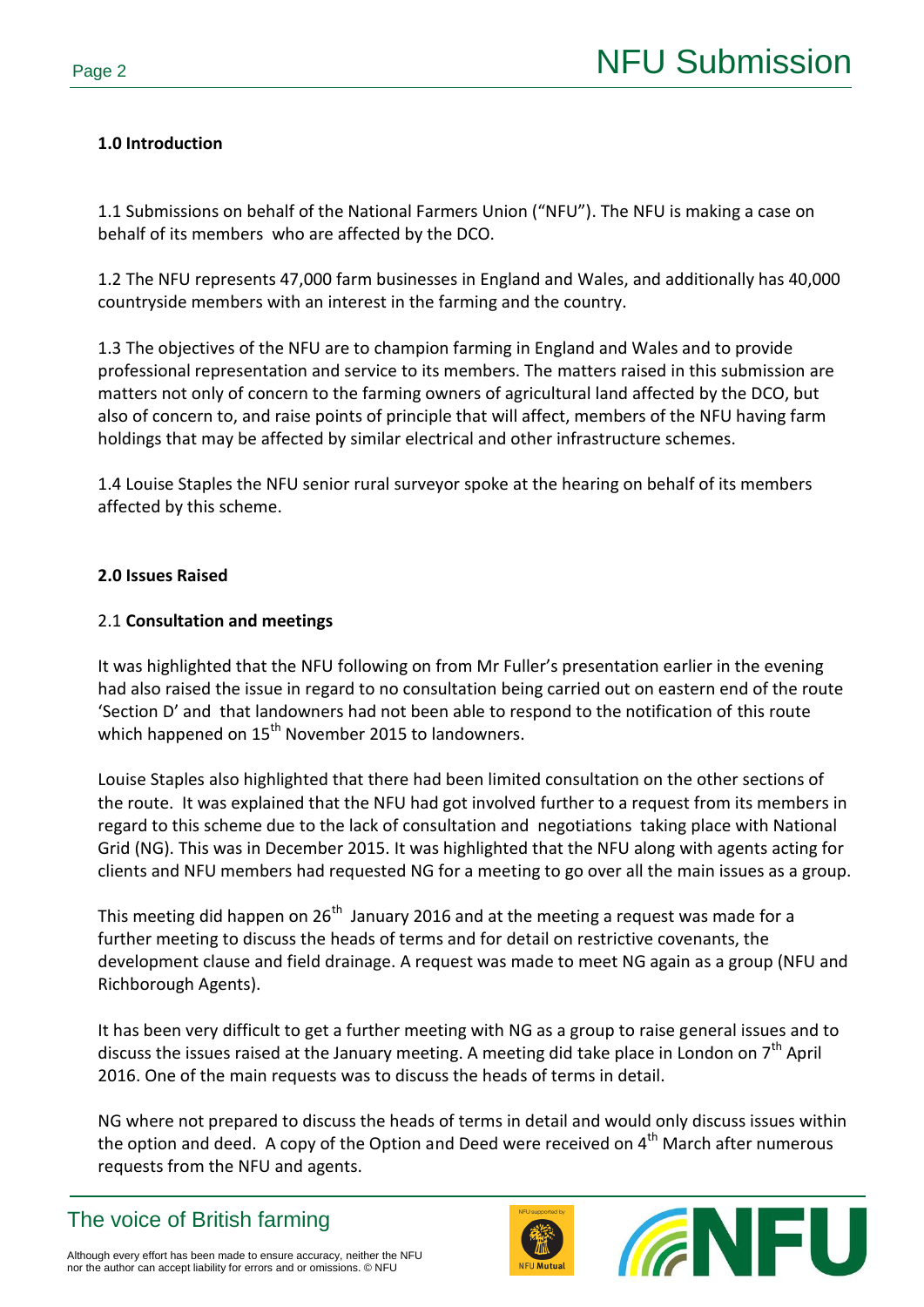## **1.0 Introduction**

1.1 Submissions on behalf of the National Farmers Union ("NFU"). The NFU is making a case on behalf of its members who are affected by the DCO.

1.2 The NFU represents 47,000 farm businesses in England and Wales, and additionally has 40,000 countryside members with an interest in the farming and the country.

1.3 The objectives of the NFU are to champion farming in England and Wales and to provide professional representation and service to its members. The matters raised in this submission are matters not only of concern to the farming owners of agricultural land affected by the DCO, but also of concern to, and raise points of principle that will affect, members of the NFU having farm holdings that may be affected by similar electrical and other infrastructure schemes.

1.4 Louise Staples the NFU senior rural surveyor spoke at the hearing on behalf of its members affected by this scheme.

### **2.0 Issues Raised**

#### 2.1 **Consultation and meetings**

It was highlighted that the NFU following on from Mr Fuller's presentation earlier in the evening had also raised the issue in regard to no consultation being carried out on eastern end of the route 'Section D' and that landowners had not been able to respond to the notification of this route which happened on  $15^{th}$  November 2015 to landowners.

Louise Staples also highlighted that there had been limited consultation on the other sections of the route. It was explained that the NFU had got involved further to a request from its members in regard to this scheme due to the lack of consultation and negotiations taking place with National Grid (NG). This was in December 2015. It was highlighted that the NFU along with agents acting for clients and NFU members had requested NG for a meeting to go over all the main issues as a group.

This meeting did happen on 26<sup>th</sup> January 2016 and at the meeting a request was made for a further meeting to discuss the heads of terms and for detail on restrictive covenants, the development clause and field drainage. A request was made to meet NG again as a group (NFU and Richborough Agents).

It has been very difficult to get a further meeting with NG as a group to raise general issues and to discuss the issues raised at the January meeting. A meeting did take place in London on  $7<sup>th</sup>$  April 2016. One of the main requests was to discuss the heads of terms in detail.

NG where not prepared to discuss the heads of terms in detail and would only discuss issues within the option and deed. A copy of the Option and Deed were received on  $4<sup>th</sup>$  March after numerous requests from the NFU and agents.

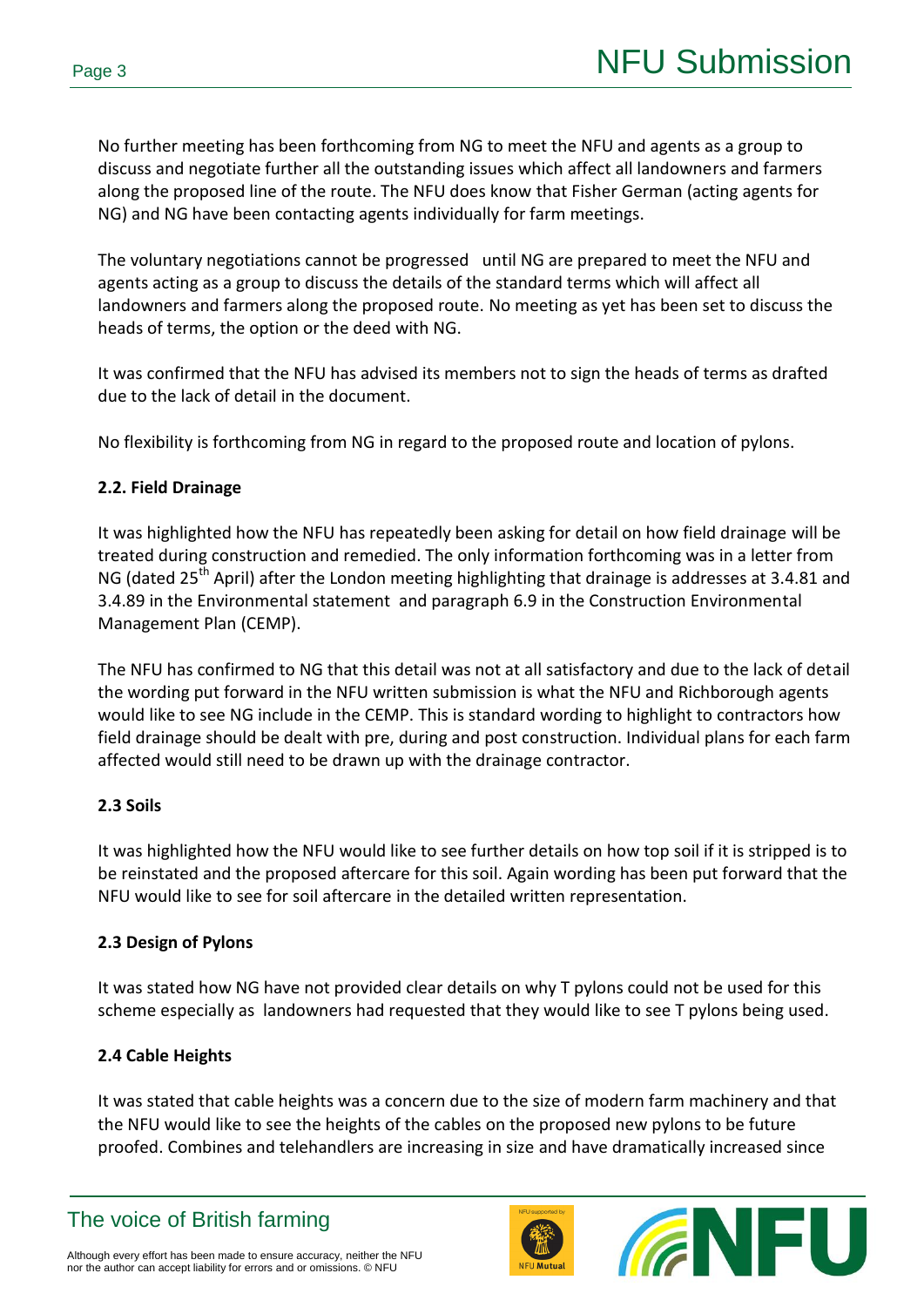No further meeting has been forthcoming from NG to meet the NFU and agents as a group to discuss and negotiate further all the outstanding issues which affect all landowners and farmers along the proposed line of the route. The NFU does know that Fisher German (acting agents for NG) and NG have been contacting agents individually for farm meetings.

The voluntary negotiations cannot be progressed until NG are prepared to meet the NFU and agents acting as a group to discuss the details of the standard terms which will affect all landowners and farmers along the proposed route. No meeting as yet has been set to discuss the heads of terms, the option or the deed with NG.

It was confirmed that the NFU has advised its members not to sign the heads of terms as drafted due to the lack of detail in the document.

No flexibility is forthcoming from NG in regard to the proposed route and location of pylons.

## **2.2. Field Drainage**

It was highlighted how the NFU has repeatedly been asking for detail on how field drainage will be treated during construction and remedied. The only information forthcoming was in a letter from NG (dated 25<sup>th</sup> April) after the London meeting highlighting that drainage is addresses at 3.4.81 and 3.4.89 in the Environmental statement and paragraph 6.9 in the Construction Environmental Management Plan (CEMP).

The NFU has confirmed to NG that this detail was not at all satisfactory and due to the lack of detail the wording put forward in the NFU written submission is what the NFU and Richborough agents would like to see NG include in the CEMP. This is standard wording to highlight to contractors how field drainage should be dealt with pre, during and post construction. Individual plans for each farm affected would still need to be drawn up with the drainage contractor.

## **2.3 Soils**

It was highlighted how the NFU would like to see further details on how top soil if it is stripped is to be reinstated and the proposed aftercare for this soil. Again wording has been put forward that the NFU would like to see for soil aftercare in the detailed written representation.

## **2.3 Design of Pylons**

It was stated how NG have not provided clear details on why T pylons could not be used for this scheme especially as landowners had requested that they would like to see T pylons being used.

## **2.4 Cable Heights**

It was stated that cable heights was a concern due to the size of modern farm machinery and that the NFU would like to see the heights of the cables on the proposed new pylons to be future proofed. Combines and telehandlers are increasing in size and have dramatically increased since



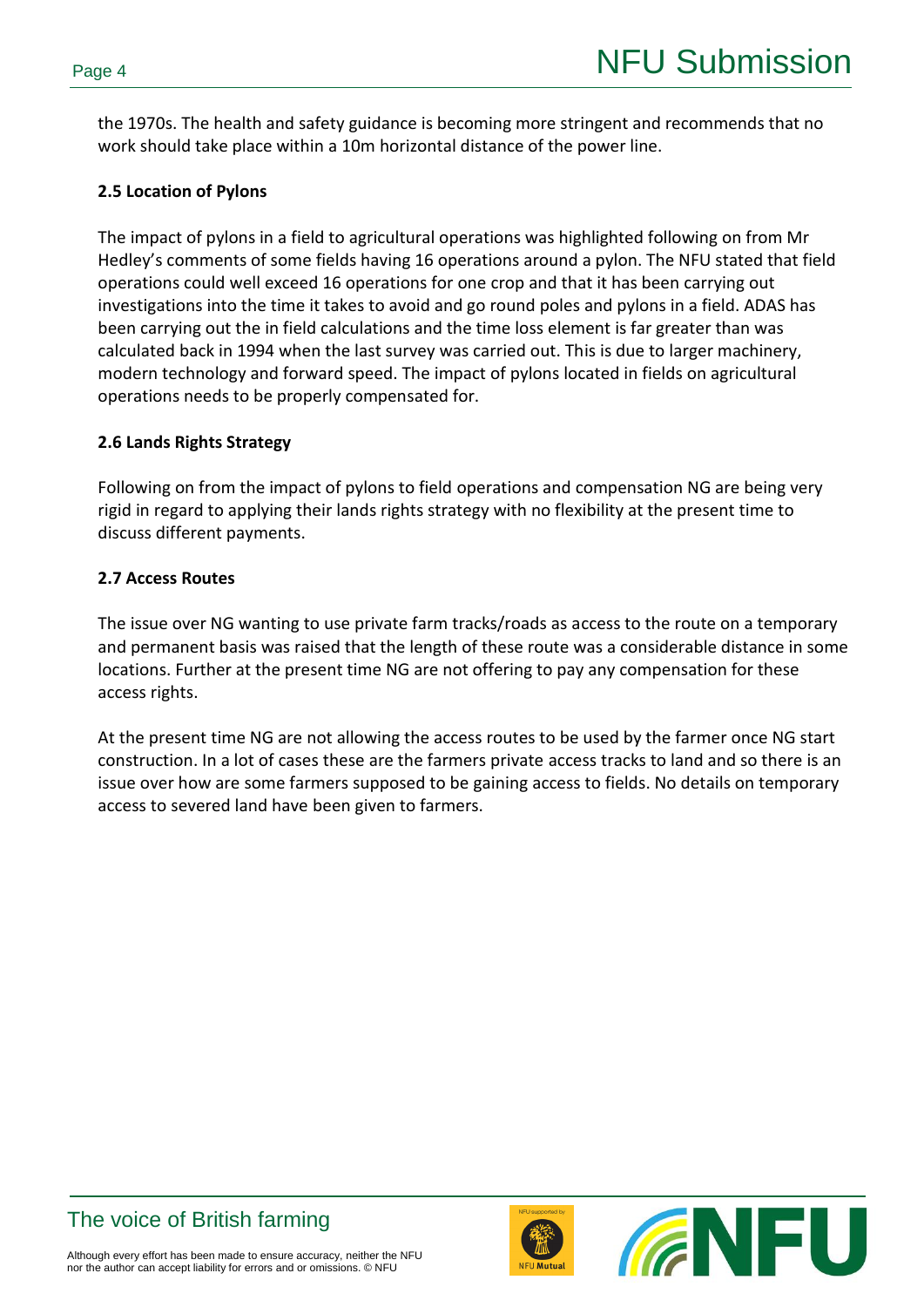the 1970s. The health and safety guidance is becoming more stringent and recommends that no work should take place within a 10m horizontal distance of the power line.

#### **2.5 Location of Pylons**

The impact of pylons in a field to agricultural operations was highlighted following on from Mr Hedley's comments of some fields having 16 operations around a pylon. The NFU stated that field operations could well exceed 16 operations for one crop and that it has been carrying out investigations into the time it takes to avoid and go round poles and pylons in a field. ADAS has been carrying out the in field calculations and the time loss element is far greater than was calculated back in 1994 when the last survey was carried out. This is due to larger machinery, modern technology and forward speed. The impact of pylons located in fields on agricultural operations needs to be properly compensated for.

#### **2.6 Lands Rights Strategy**

Following on from the impact of pylons to field operations and compensation NG are being very rigid in regard to applying their lands rights strategy with no flexibility at the present time to discuss different payments.

#### **2.7 Access Routes**

The issue over NG wanting to use private farm tracks/roads as access to the route on a temporary and permanent basis was raised that the length of these route was a considerable distance in some locations. Further at the present time NG are not offering to pay any compensation for these access rights.

At the present time NG are not allowing the access routes to be used by the farmer once NG start construction. In a lot of cases these are the farmers private access tracks to land and so there is an issue over how are some farmers supposed to be gaining access to fields. No details on temporary access to severed land have been given to farmers.





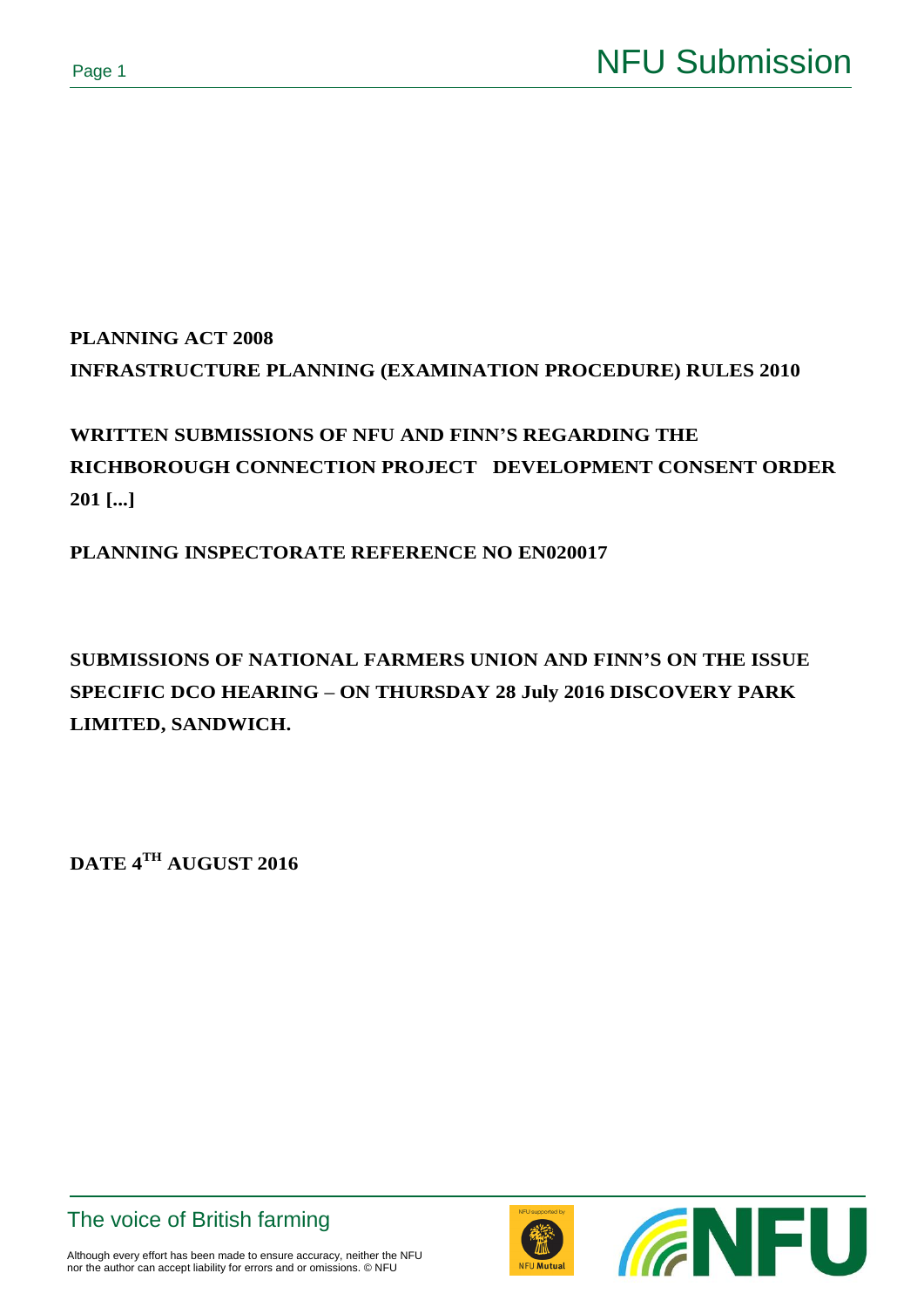# **PLANNING ACT 2008 INFRASTRUCTURE PLANNING (EXAMINATION PROCEDURE) RULES 2010**

# **WRITTEN SUBMISSIONS OF NFU AND FINN'S REGARDING THE RICHBOROUGH CONNECTION PROJECT DEVELOPMENT CONSENT ORDER 201 [...]**

**PLANNING INSPECTORATE REFERENCE NO EN020017**

**SUBMISSIONS OF NATIONAL FARMERS UNION AND FINN'S ON THE ISSUE SPECIFIC DCO HEARING – ON THURSDAY 28 July 2016 DISCOVERY PARK LIMITED, SANDWICH.**

**DATE 4TH AUGUST 2016**

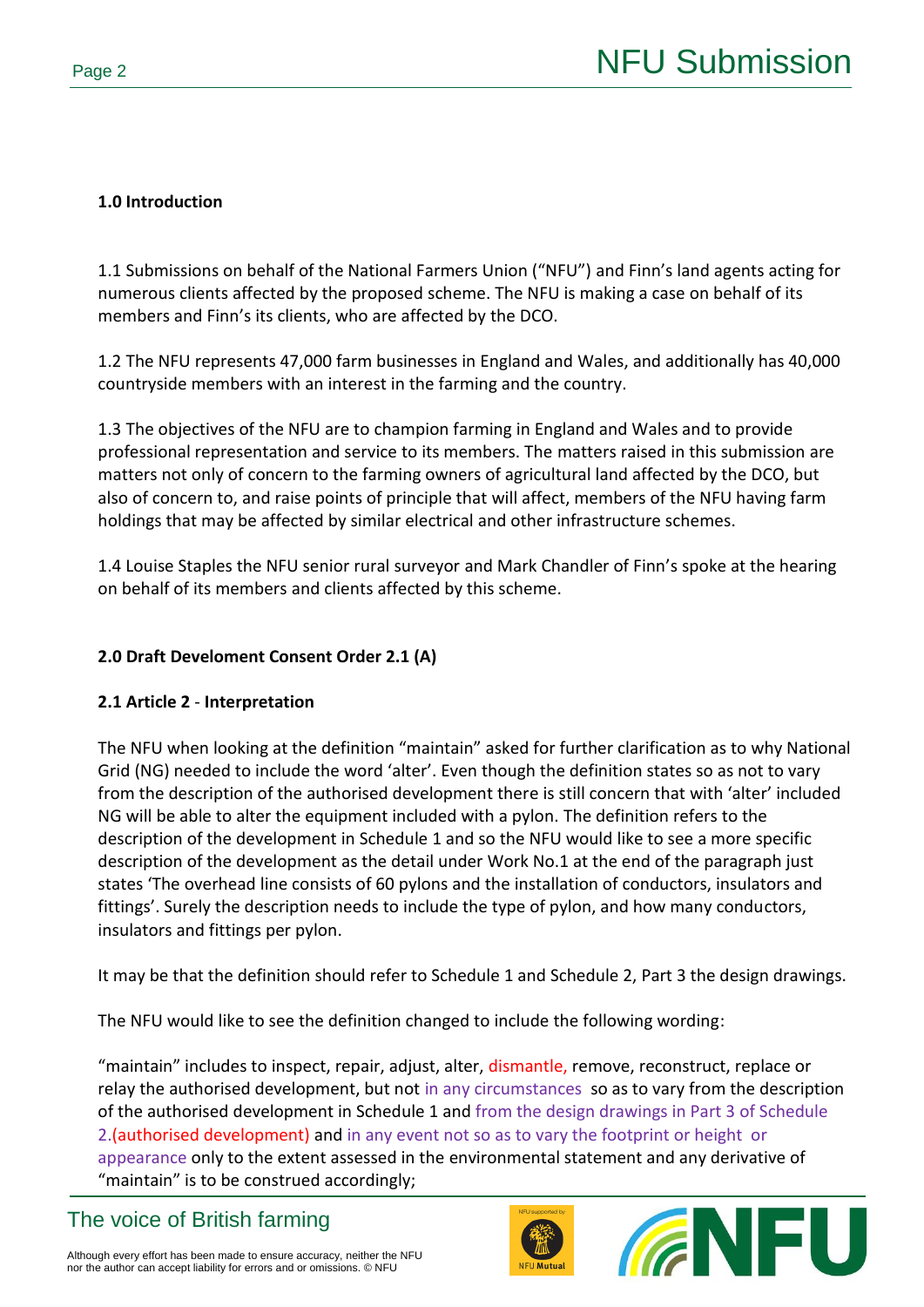## **1.0 Introduction**

1.1 Submissions on behalf of the National Farmers Union ("NFU") and Finn's land agents acting for numerous clients affected by the proposed scheme. The NFU is making a case on behalf of its members and Finn's its clients, who are affected by the DCO.

1.2 The NFU represents 47,000 farm businesses in England and Wales, and additionally has 40,000 countryside members with an interest in the farming and the country.

1.3 The objectives of the NFU are to champion farming in England and Wales and to provide professional representation and service to its members. The matters raised in this submission are matters not only of concern to the farming owners of agricultural land affected by the DCO, but also of concern to, and raise points of principle that will affect, members of the NFU having farm holdings that may be affected by similar electrical and other infrastructure schemes.

1.4 Louise Staples the NFU senior rural surveyor and Mark Chandler of Finn's spoke at the hearing on behalf of its members and clients affected by this scheme.

## **2.0 Draft Develoment Consent Order 2.1 (A)**

## **2.1 Article 2** - **Interpretation**

The NFU when looking at the definition "maintain" asked for further clarification as to why National Grid (NG) needed to include the word 'alter'. Even though the definition states so as not to vary from the description of the authorised development there is still concern that with 'alter' included NG will be able to alter the equipment included with a pylon. The definition refers to the description of the development in Schedule 1 and so the NFU would like to see a more specific description of the development as the detail under Work No.1 at the end of the paragraph just states 'The overhead line consists of 60 pylons and the installation of conductors, insulators and fittings'. Surely the description needs to include the type of pylon, and how many conductors, insulators and fittings per pylon.

It may be that the definition should refer to Schedule 1 and Schedule 2, Part 3 the design drawings.

The NFU would like to see the definition changed to include the following wording:

"maintain" includes to inspect, repair, adjust, alter, dismantle, remove, reconstruct, replace or relay the authorised development, but not in any circumstances so as to vary from the description of the authorised development in Schedule 1 and from the design drawings in Part 3 of Schedule 2. (authorised development) and in any event not so as to vary the footprint or height or appearance only to the extent assessed in the environmental statement and any derivative of "maintain" is to be construed accordingly;



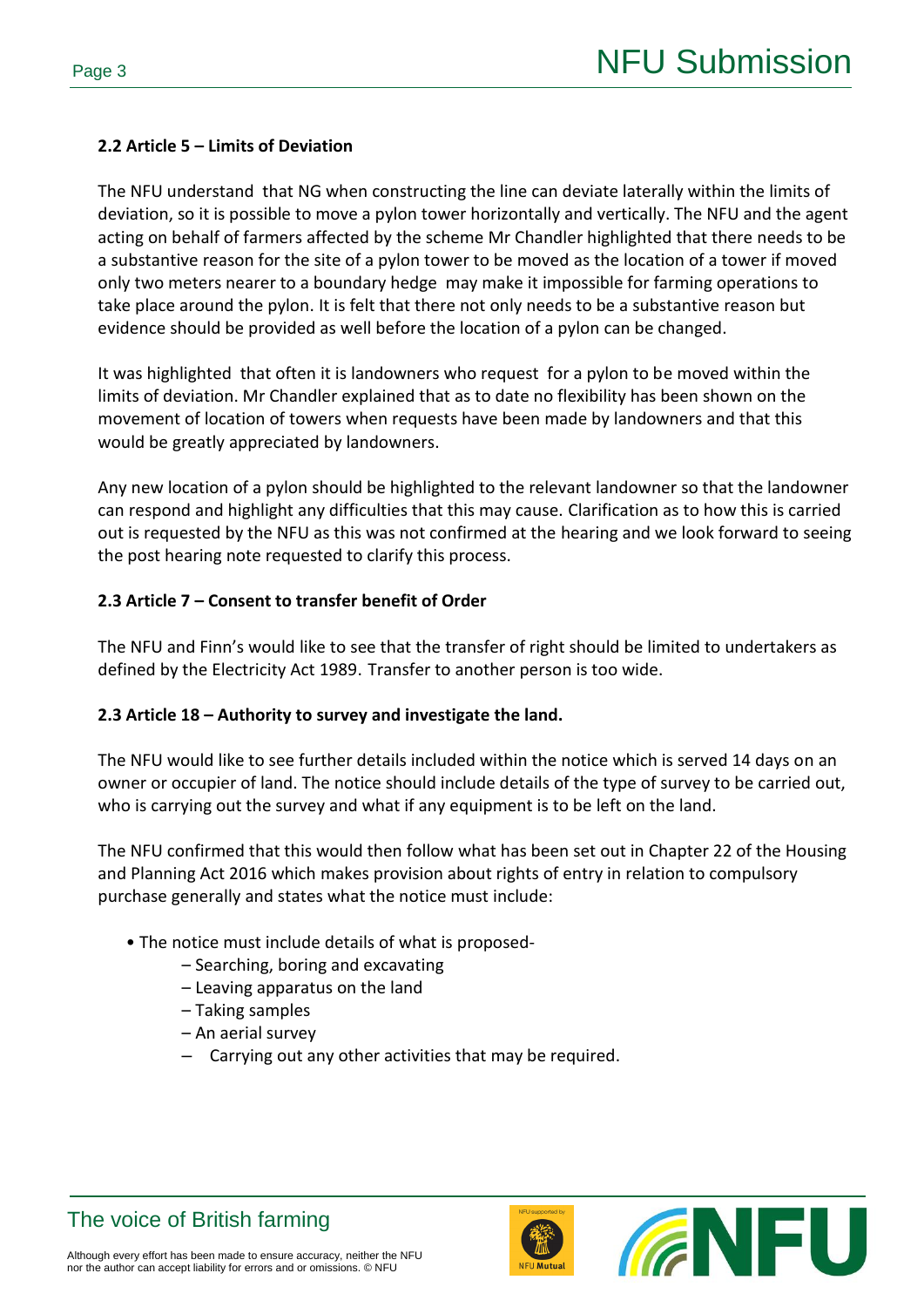### **2.2 Article 5 – Limits of Deviation**

The NFU understand that NG when constructing the line can deviate laterally within the limits of deviation, so it is possible to move a pylon tower horizontally and vertically. The NFU and the agent acting on behalf of farmers affected by the scheme Mr Chandler highlighted that there needs to be a substantive reason for the site of a pylon tower to be moved as the location of a tower if moved only two meters nearer to a boundary hedge may make it impossible for farming operations to take place around the pylon. It is felt that there not only needs to be a substantive reason but evidence should be provided as well before the location of a pylon can be changed.

It was highlighted that often it is landowners who request for a pylon to be moved within the limits of deviation. Mr Chandler explained that as to date no flexibility has been shown on the movement of location of towers when requests have been made by landowners and that this would be greatly appreciated by landowners.

Any new location of a pylon should be highlighted to the relevant landowner so that the landowner can respond and highlight any difficulties that this may cause. Clarification as to how this is carried out is requested by the NFU as this was not confirmed at the hearing and we look forward to seeing the post hearing note requested to clarify this process.

#### **2.3 Article 7 – Consent to transfer benefit of Order**

The NFU and Finn's would like to see that the transfer of right should be limited to undertakers as defined by the Electricity Act 1989. Transfer to another person is too wide.

#### **2.3 Article 18 – Authority to survey and investigate the land.**

The NFU would like to see further details included within the notice which is served 14 days on an owner or occupier of land. The notice should include details of the type of survey to be carried out, who is carrying out the survey and what if any equipment is to be left on the land.

The NFU confirmed that this would then follow what has been set out in Chapter 22 of the Housing and Planning Act 2016 which makes provision about rights of entry in relation to compulsory purchase generally and states what the notice must include:

- The notice must include details of what is proposed-
	- Searching, boring and excavating
	- Leaving apparatus on the land
	- Taking samples
	- An aerial survey
	- Carrying out any other activities that may be required.



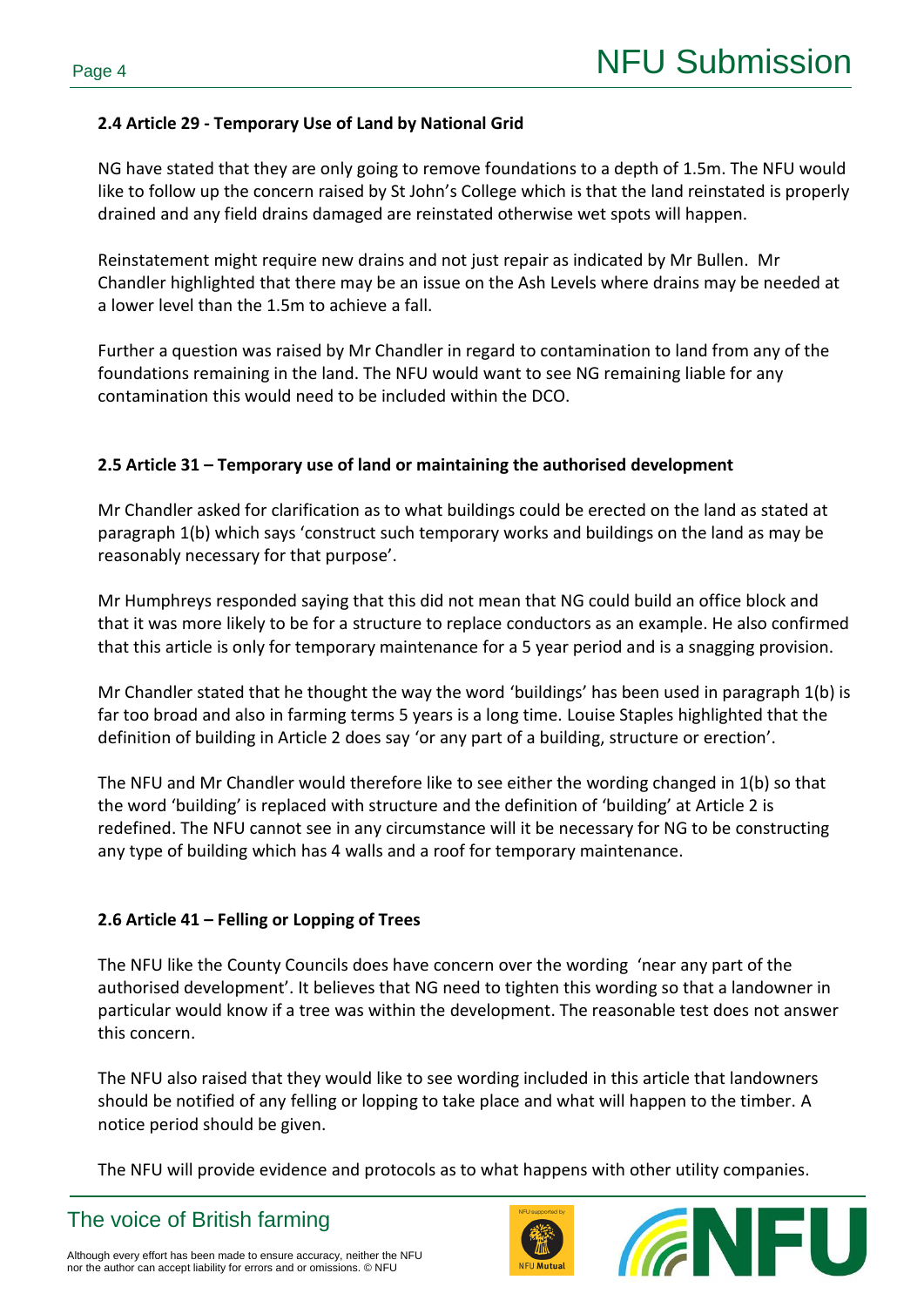### **2.4 Article 29 - Temporary Use of Land by National Grid**

NG have stated that they are only going to remove foundations to a depth of 1.5m. The NFU would like to follow up the concern raised by St John's College which is that the land reinstated is properly drained and any field drains damaged are reinstated otherwise wet spots will happen.

Reinstatement might require new drains and not just repair as indicated by Mr Bullen. Mr Chandler highlighted that there may be an issue on the Ash Levels where drains may be needed at a lower level than the 1.5m to achieve a fall.

Further a question was raised by Mr Chandler in regard to contamination to land from any of the foundations remaining in the land. The NFU would want to see NG remaining liable for any contamination this would need to be included within the DCO.

### **2.5 Article 31 – Temporary use of land or maintaining the authorised development**

Mr Chandler asked for clarification as to what buildings could be erected on the land as stated at paragraph 1(b) which says 'construct such temporary works and buildings on the land as may be reasonably necessary for that purpose'.

Mr Humphreys responded saying that this did not mean that NG could build an office block and that it was more likely to be for a structure to replace conductors as an example. He also confirmed that this article is only for temporary maintenance for a 5 year period and is a snagging provision.

Mr Chandler stated that he thought the way the word 'buildings' has been used in paragraph 1(b) is far too broad and also in farming terms 5 years is a long time. Louise Staples highlighted that the definition of building in Article 2 does say 'or any part of a building, structure or erection'.

The NFU and Mr Chandler would therefore like to see either the wording changed in 1(b) so that the word 'building' is replaced with structure and the definition of 'building' at Article 2 is redefined. The NFU cannot see in any circumstance will it be necessary for NG to be constructing any type of building which has 4 walls and a roof for temporary maintenance.

## **2.6 Article 41 – Felling or Lopping of Trees**

The NFU like the County Councils does have concern over the wording 'near any part of the authorised development'. It believes that NG need to tighten this wording so that a landowner in particular would know if a tree was within the development. The reasonable test does not answer this concern.

The NFU also raised that they would like to see wording included in this article that landowners should be notified of any felling or lopping to take place and what will happen to the timber. A notice period should be given.

The NFU will provide evidence and protocols as to what happens with other utility companies.



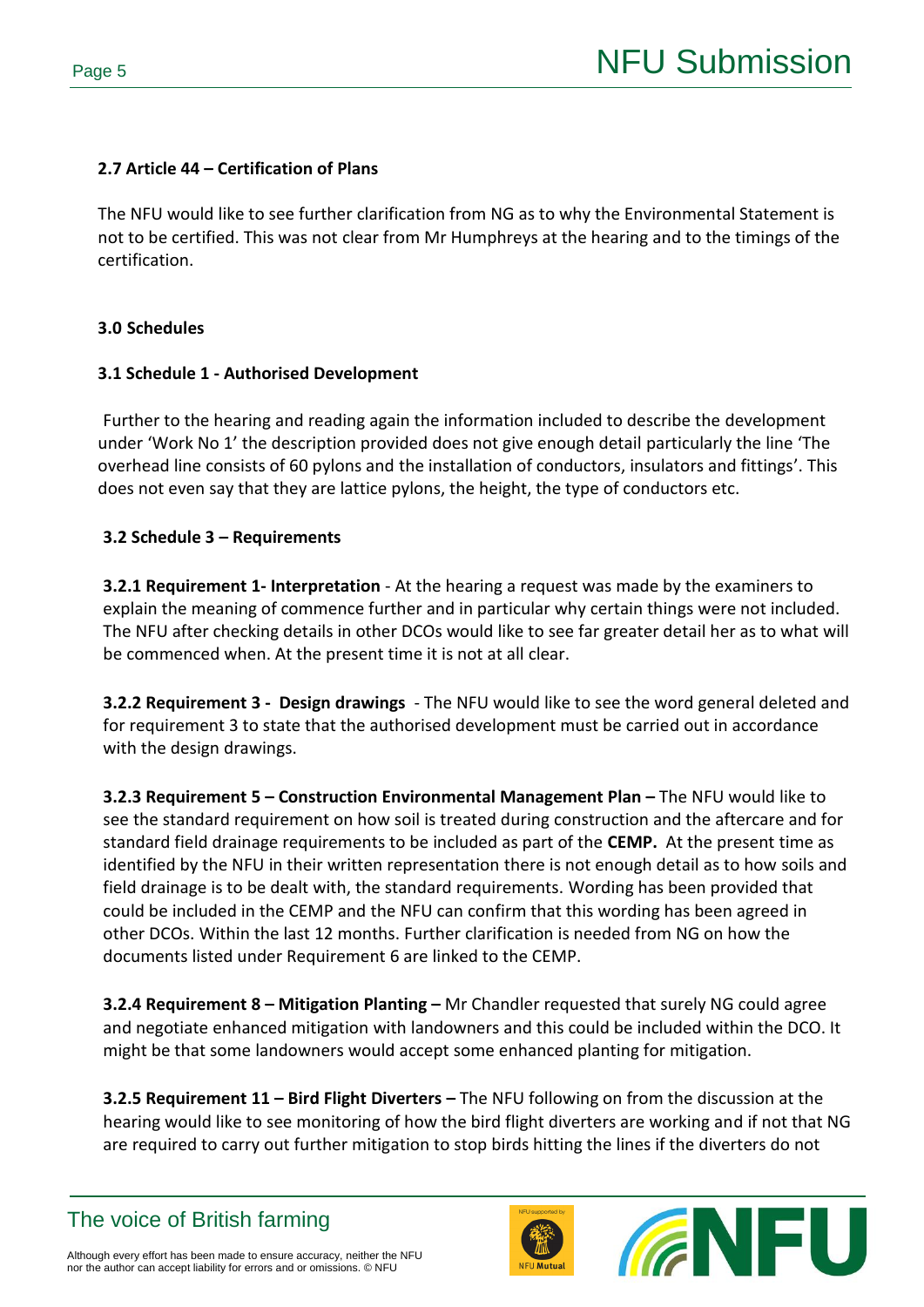#### **2.7 Article 44 – Certification of Plans**

The NFU would like to see further clarification from NG as to why the Environmental Statement is not to be certified. This was not clear from Mr Humphreys at the hearing and to the timings of the certification.

#### **3.0 Schedules**

### **3.1 Schedule 1 - Authorised Development**

Further to the hearing and reading again the information included to describe the development under 'Work No 1' the description provided does not give enough detail particularly the line 'The overhead line consists of 60 pylons and the installation of conductors, insulators and fittings'. This does not even say that they are lattice pylons, the height, the type of conductors etc.

## **3.2 Schedule 3 – Requirements**

**3.2.1 Requirement 1- Interpretation** - At the hearing a request was made by the examiners to explain the meaning of commence further and in particular why certain things were not included. The NFU after checking details in other DCOs would like to see far greater detail her as to what will be commenced when. At the present time it is not at all clear.

**3.2.2 Requirement 3 - Design drawings** - The NFU would like to see the word general deleted and for requirement 3 to state that the authorised development must be carried out in accordance with the design drawings.

**3.2.3 Requirement 5 – Construction Environmental Management Plan –** The NFU would like to see the standard requirement on how soil is treated during construction and the aftercare and for standard field drainage requirements to be included as part of the **CEMP.** At the present time as identified by the NFU in their written representation there is not enough detail as to how soils and field drainage is to be dealt with, the standard requirements. Wording has been provided that could be included in the CEMP and the NFU can confirm that this wording has been agreed in other DCOs. Within the last 12 months. Further clarification is needed from NG on how the documents listed under Requirement 6 are linked to the CEMP.

**3.2.4 Requirement 8 – Mitigation Planting –** Mr Chandler requested that surely NG could agree and negotiate enhanced mitigation with landowners and this could be included within the DCO. It might be that some landowners would accept some enhanced planting for mitigation.

**3.2.5 Requirement 11 – Bird Flight Diverters –** The NFU following on from the discussion at the hearing would like to see monitoring of how the bird flight diverters are working and if not that NG are required to carry out further mitigation to stop birds hitting the lines if the diverters do not